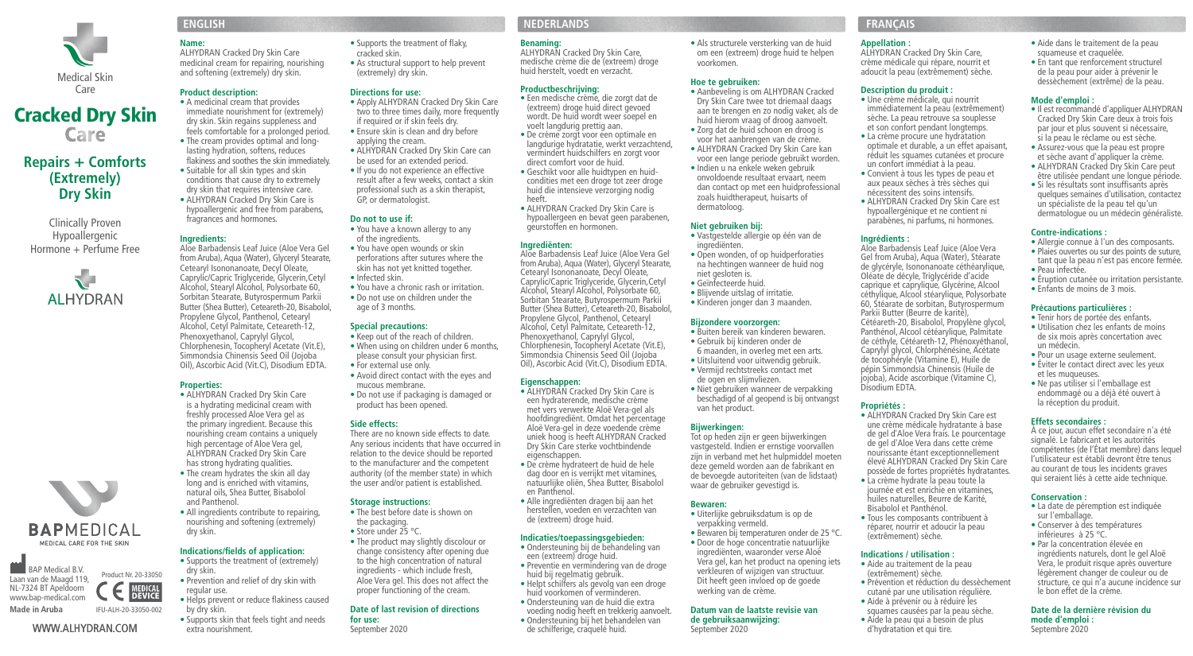

# Cracked Dry SkinCare

## **Repairs + Comforts (Extremely) Dry Skin**

Clinically Proven Hypoallergenic Hormone + Perfume Free







#### WWW.ALHYDRAN.COM

**Name:**  ALHYDRAN Cracked Dry Skin Care medicinal cream for repairing, nourishing and softening (extremely) dry skin.

#### **Product description:**

• A medicinal cream that provides immediate nourishment for (extremely) dry skin. Skin regains suppleness and feels comfortable for a prolonged period. • The cream provides optimal and longlasting hydration, softens, reduces flakiness and soothes the skin immediately. • Suitable for all skin types and skin conditions that cause dry to extremely dry skin that requires intensive care.

• ALHYDRAN Cracked Dry Skin Care is hypoallergenic and free from parabens, fragrances and hormones.

#### **Ingredients:**

Aloe Barbadensis Leaf Juice (Aloe Vera Gel from Aruba), Aqua (Water), Glyceryl Stearate, Cetearyl Isononanoate, Decyl Oleate, Caprylic/Capric Triglyceride, Glycerin,Cetyl Alcohol, Stearyl Alcohol, Polysorbate 60, Sorbitan Stearate, Butyrospermum Parkii Butter (Shea Butter), Ceteareth-20, Bisabolol, Propylene Glycol, Panthenol, Cetearyl Alcohol, Cetyl Palmitate, Ceteareth-12, Phenoxyethanol, Caprylyl Glycol, Chlorphenesin, Tocopheryl Acetate (Vit.E), Simmondsia Chinensis Seed Oil (Jojoba Oil), Ascorbic Acid (Vit.C), Disodium EDTA.

#### **Properties:**

- ALHYDRAN Cracked Dry Skin Care is a hydrating medicinal cream with freshly processed Aloe Vera gel as the primary ingredient. Because this nourishing cream contains a uniquely high percentage of Aloe Vera gel, ALHYDRAN Cracked Dry Skin Care has strong hydrating qualities. • The cream hydrates the skin all day
- long and is enriched with vitamins, natural oils, Shea Butter, Bisabolol and Panthenol. • All ingredients contribute to repairing,
- nourishing and softening (extremely) dry skin.

#### **Indications/fields of application:**

- Supports the treatment of (extremely) dry skin. • Prevention and relief of dry skin with
- regular use. • Helps prevent or reduce flakiness caused
- by dry skin. • Supports skin that feels tight and needs

extra nourishment.

• Supports the treatment of flaky, cracked skin. • As structural support to help prevent

- (extremely) dry skin.
- - Apply ALHYDRAN Cracked Dry Skin Care two to three times daily, more frequently if required or if skin feels dry.

**Directions for use:** 

- Ensure skin is clean and dry before applying the cream. • ALHYDRAN Cracked Dry Skin Care can be used for an extended period.
- If you do not experience an effective result after a few weeks, contact a skin professional such as a skin therapist, GP, or dermatologist.

#### **Do not to use if:**  • You have a known allergy to any

- of the ingredients. • You have open wounds or skin
- perforations after sutures where the skin has not yet knitted together. • Infected skin.
- You have a chronic rash or irritation.
- Do not use on children under the age of 3 months.

#### **Special precautions:**

- Keep out of the reach of children. • When using on children under 6 months.
- please consult your physician first. • For external use only.
- Avoid direct contact with the eyes and mucous membrane.
- Do not use if packaging is damaged or product has been opened.

#### **Side effects:**

There are no known side effects to date. Any serious incidents that have occurred in relation to the device should be reported to the manufacturer and the competent authority (of the member state) in which the user and/or patient is established.

#### **Storage instructions:**

• The best before date is shown on the packaging.

proper functioning of the cream. **Date of last revision of directions**

• Store under 25 °C. • The product may slightly discolour or

## change consistency after opening due

- to the high concentration of natural ingredients - which include fresh, Aloe Vera gel. This does not affect the
- 
- 
- **for use:**  September 2020

## **ENGLISH NEDERLANDS FRANÇAIS**

#### **Benaming:**

ALHYDRAN Cracked Dry Skin Care, medische crème die de (extreem) droge huid herstelt, voedt en verzacht.

#### **Productbeschrijving:**

- Een medische crème, die zorgt dat de (extreem) droge huid direct gevoed wordt. De huid wordt weer soepel en voelt langdurig prettig aan. • De crème zorgt voor een optimale en langdurige hydratatie, werkt verzachtend, vermindert huidschilfers en zorgt voor direct comfort voor de huid.
- Geschikt voor alle huidtypen en huidcondities met een droge tot zeer droge huid die intensieve verzorging nodig heeft.
- ALHYDRAN Cracked Dry Skin Care is hypoallergeen en bevat geen parabenen, geurstoffen en hormonen.

#### **Ingrediënten:**

Aloe Barbadensis Leaf Juice (Aloe Vera Gel from Aruba), Aqua (Water), Glyceryl Stearate, Cetearyl Isononanoate, Decyl Oleate, Caprylic/Capric Triglyceride, Glycerin,Cetyl Alcohol, Stearyl Alcohol, Polysorbate 60, Sorbitan Stearate, Butyrospermum Parkii Butter (Shea Butter), Ceteareth-20, Bisabolol, Propylene Glycol, Panthenol, Cetearyl Alcohol, Cetyl Palmitate, Ceteareth-12, Phenoxyethanol, Caprylyl Glycol, Chlorphenesin, Tocopheryl Acetate (Vit.E), Simmondsia Chinensis Seed Oil (Jojoba Oil), Ascorbic Acid (Vit.C), Disodium EDTA.

#### **Eigenschappen:**

- ALHYDRAN Cracked Dry Skin Care is een hydraterende, medische crème met vers verwerkte Aloë Vera-gel als hoofdingrediënt. Omdat het percentage Aloë Vera-gel in deze voedende crème uniek hoog is heeft ALHYDRAN Cracked Dry Skin Care sterke vochtbindende eigenschappen. • De crème hydrateert de huid de hele
- dag door en is verrijkt met vitamines, natuurlijke oliën, Shea Butter, Bisabolol en Panthenol.
- Alle ingrediënten dragen bij aan het herstellen, voeden en verzachten van de (extreem) droge huid.

#### **Indicaties/toepassingsgebieden:**

- Ondersteuning bij de behandeling van een (extreem) droge huid.
- Preventie en vermindering van de droge huid bij regelmatig gebruik.
- Helpt schilfers als gevolg van een droge huid voorkomen of verminderen. • Ondersteuning van de huid die extra
- voeding nodig heeft en trekkerig aanvoelt. • Ondersteuning bij het behandelen van de schilferige, craquelé huid. **Datum van de laatste revisie van de gebruiksaanwijzing:**  September 2020

#### **Appellation :**

• Als structurele versterking van de huid om een (extreem) droge huid te helpen

• Aanbeveling is om ALHYDRAN Cracked Dry Skin Care twee tot driemaal daags aan te brengen en zo nodig vaker, als de huid hierom vraag of droog aanvoelt. • Zorg dat de huid schoon en droog is voor het aanbrengen van de crème. • ALHYDRAN Cracked Dry Skin Care kan voor een lange periode gebruikt worden. • Indien u na enkele weken gebruik onvoldoende resultaat ervaart, neem dan contact op met een huidprofessional zoals huidtherapeut, huisarts of

• Vastgestelde allergie op één van de

• Open wonden, of op huidperforaties na hechtingen wanneer de huid nog

• Buiten bereik van kinderen bewaren. • Gebruik bij kinderen onder de 6 maanden, in overleg met een arts. • Uitsluitend voor uitwendig gebruik. • Vermijd rechtstreeks contact met de ogen en slijmvliezen.

• Niet gebruiken wanneer de verpakking beschadigd of al geopend is bij ontvangst

Tot op heden zijn er geen bijwerkingen vastgesteld. Indien er ernstige voorvallen zijn in verband met het hulpmiddel moeten deze gemeld worden aan de fabrikant en de bevoegde autoriteiten (van de lidstaat) waar de gebruiker gevestigd is.

• Uiterlijke gebruiksdatum is op de verpakking vermeld.

werking van de crème.

• Bewaren bij temperaturen onder de 25 °C. • Door de hoge concentratie natuurlijke ingrediënten, waaronder verse Aloë Vera gel, kan het product na opening iets verkleuren of wijzigen van structuur. Dit heeft geen invloed op de goede

voorkomen. **Hoe te gebruiken:** 

dermatoloog. **Niet gebruiken bij:** 

ingrediënten.

niet gesloten is. • Geïnfecteerde huid. • Blijvende uitslag of irritatie. • Kinderen jonger dan 3 maanden.

**Bijzondere voorzorgen:** 

van het product. **Bijwerkingen:** 

**Bewaren:** 

ALHYDRAN Cracked Dry Skin Care, crème médicale qui répare, nourrit et adoucit la peau (extrêmement) sèche.

#### **Description du produit :**

- Une crème médicale, qui nourrit immédiatement la peau (extrêmement) sèche. La peau retrouve sa souplesse et son confort pendant longtemps. • La crème procure une hydratation
- optimale et durable, a un effet apaisant, réduit les squames cutanées et procure un confort immédiat à la peau.
- Convient à tous les types de peau et aux peaux sèches à très sèches qui nécessitent des soins intensifs. • ALHYDRAN Cracked Dry Skin Care est
	- hypoallergénique et ne contient ni parabènes, ni parfums, ni hormones.

#### **Ingrédients :**

Aloe Barbadensis Leaf Juice (Aloe Vera Gel from Aruba), Aqua (Water), Stéarate de glycéryle, Isononanoate céthéarylique, Oléate de décyle, Triglycéride d'acide caprique et caprylique, Glycérine, Alcool céthylique, Alcool stéarylique, Polysorbate 60, Stéarate de sorbitan, Butyrospermum Parkii Butter (Beurre de karité), Cétéareth-20, Bisabolol, Propylène glycol, Panthénol, Alcool cétéarylique, Palmitate de céthyle, Cétéareth-12, Phénoxyéthanol, Caprylyl glycol, Chlorphénésine, Acétate de tocophéryle (Vitamine E), Huile de pépin Simmondsia Chinensis (Huile de jojoba), Acide ascorbique (Vitamine C), Disodium EDTA.

#### **Propriétés :**

• ALHYDRAN Cracked Drv Skin Care est une crème médicale hydratante à base de gel d'Aloe Vera frais. Le pourcentage de gel d'Aloe Vera dans cette crème nourissante étant exceptionnellement élevé ALHYDRAN Cracked Dry Skin Care possède de fortes propriétés hydratantes. • La crème hydrate la peau toute la journée et est enrichie en vitamines,

- huiles naturelles, Beurre de Karité, Bisabolol et Panthénol.
- Tous les composants contribuent à réparer, nourrir et adoucir la peau (extrêmement) sèche.

#### **Indications / utilisation :**

- Aide au traitement de la peau (extrêmement) sèche.
- Prévention et réduction du dessèchement
- cutané par une utilisation régulière. • Aide à prévenir ou à réduire les
- squames causées par la peau sèche.
- Aide la peau qui a besoin de plus d'hydratation et qui tire.
- Aide dans le traitement de la peau squameuse et craquelée.
- En tant que renforcement structurel de la peau pour aider à prévenir le dessèchement (extrême) de la peau.

#### **Mode d'emploi :**

- Il est recommandé d'appliquer ALHYDRAN Cracked Dry Skin Care deux à trois fois par jour et plus souvent si nécessaire, si la peau le réclame ou est sèche.
- Assurez-vous que la peau est propre et sèche avant d'appliquer la crème.
- ALHYDRAN Cracked Dry Skin Care peut être utilisée pendant une longue période. • Si les résultats sont insuffisants après
- quelques semaines d'utilisation, contactez un spécialiste de la peau tel qu'un dermatologue ou un médecin généraliste.

#### **Contre-indications :**

- Allergie connue à l'un des composants.
- Plaies ouvertes ou sur des points de suture, tant que la peau n'est pas encore fermée.
- Peau infectée. • Éruption cutanée ou irritation persistante.
- Enfants de moins de 3 mois.

#### **Précautions particulières :**

un médecin.

**Conservation :** 

sur l'emballage.

**mode d'emploi :**  Septembre 2020

et les muqueuses.

• Tenir hors de portée des enfants. • Utilisation chez les enfants de moins

• Pour un usage externe seulement. • Éviter le contact direct avec les yeux

• Ne pas utiliser si l'emballage est endommagé ou a déjà été ouvert à la réception du produit. **Effets secondaires :** 

À ce jour, aucun effet secondaire n'a été signalé. Le fabricant et les autorités compétentes (de l'État membre) dans lequel l'utilisateur est établi devront être tenus au courant de tous les incidents graves qui seraient liés à cette aide technique.

• La date de péremption est indiquée

• Conserver à des températures inférieures à 25 °C. • Par la concentration élevée en ingrédients naturels, dont le gel Aloë Vera, le produit risque après ouverture légèrement changer de couleur ou de structure, ce qui n'a aucune incidence sur

le bon effet de la crème. **Date de la dernière révision du**

de six mois après concertation avec